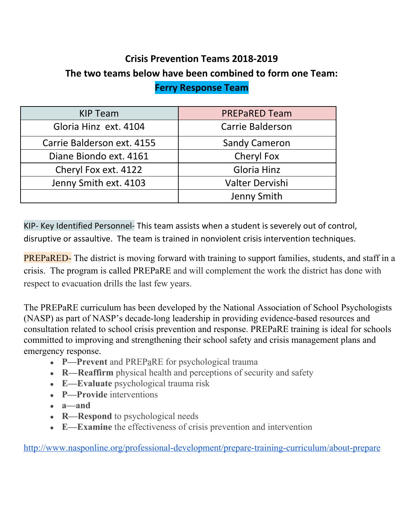## **Crisis Prevention Teams 2018-2019 The two teams below have been combined to form one Team: Ferry Response Team**

| <b>KIP Team</b>            | <b>PREPARED Team</b>    |
|----------------------------|-------------------------|
| Gloria Hinz ext. 4104      | <b>Carrie Balderson</b> |
| Carrie Balderson ext. 4155 | <b>Sandy Cameron</b>    |
| Diane Biondo ext. 4161     | Cheryl Fox              |
| Cheryl Fox ext. 4122       | Gloria Hinz             |
| Jenny Smith ext. 4103      | Valter Dervishi         |
|                            | Jenny Smith             |

KIP- Key Identified Personnel- This team assists when a student is severely out of control, disruptive or assaultive. The team is trained in nonviolent crisis intervention techniques.

PREPaRED- The district is moving forward with training to support families, students, and staff in a crisis. The program is called PREPaRE and will complement the work the district has done with respect to evacuation drills the last few years.

The PREPaRE curriculum has been developed by the National Association of School Psychologists (NASP) as part of NASP's decade-long leadership in providing evidence-based resources and consultation related to school crisis prevention and response. PREPaRE training is ideal for schools committed to improving and strengthening their school safety and crisis management plans and emergency response.

- **P**—Prevent and PREP<sub>a</sub>RE for psychological trauma
- **R—Reaffirm** physical health and perceptions of security and safety
- **E—Evaluate** psychological trauma risk
- **P—Provide** interventions
- $\bullet$  **a**—and
- **R—Respond** to psychological needs
- **E—Examine** the effectiveness of crisis prevention and intervention

<http://www.nasponline.org/professional-development/prepare-training-curriculum/about-prepare>